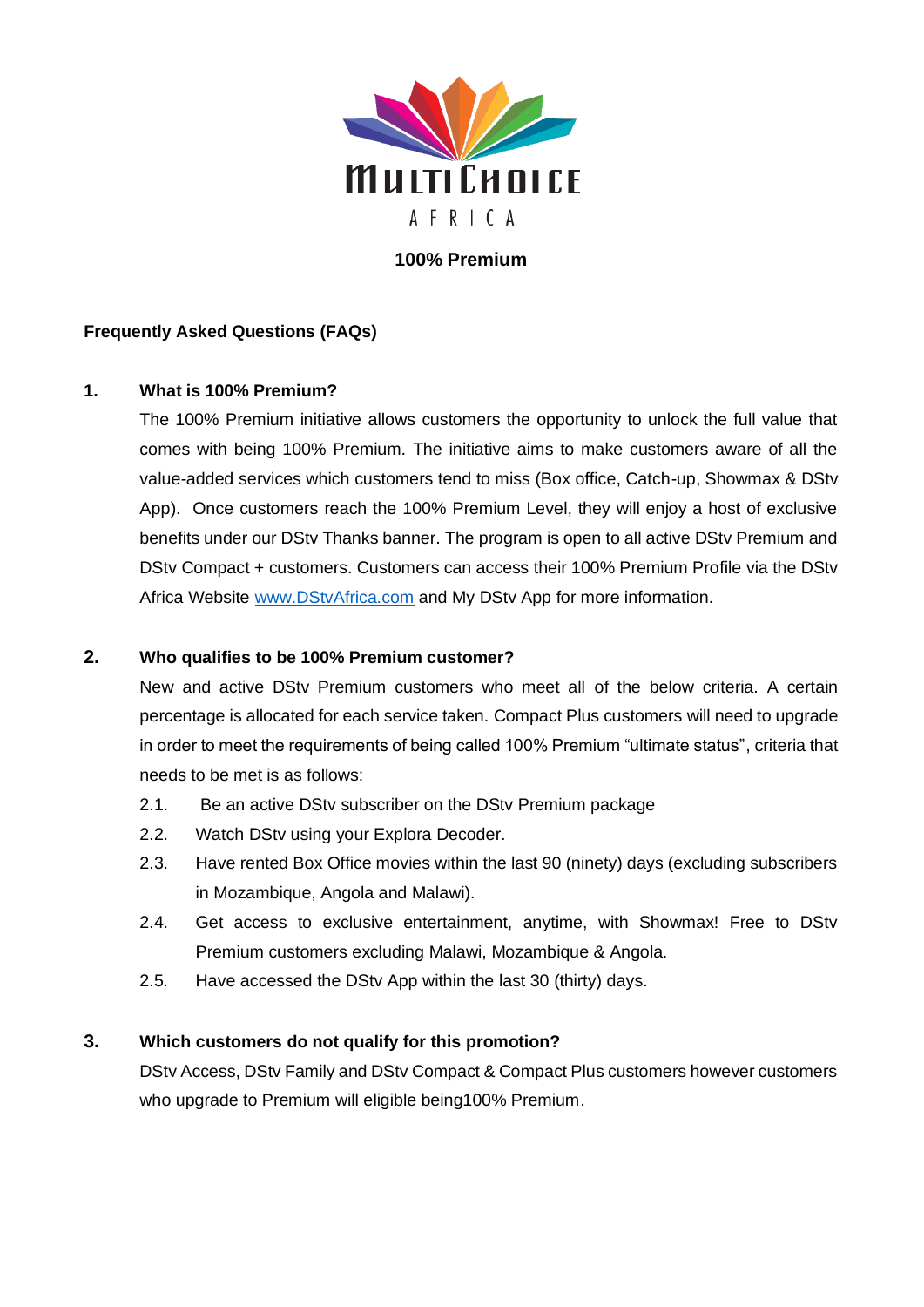

# **100% Premium**

## **Frequently Asked Questions (FAQs)**

### **1. What is 100% Premium?**

The 100% Premium initiative allows customers the opportunity to unlock the full value that comes with being 100% Premium. The initiative aims to make customers aware of all the value-added services which customers tend to miss (Box office, Catch-up, Showmax & DStv App). Once customers reach the 100% Premium Level, they will enjoy a host of exclusive benefits under our DStv Thanks banner. The program is open to all active DStv Premium and DStv Compact + customers. Customers can access their 100% Premium Profile via the DStv Africa Website [www.DStvAfrica.com](http://www.dstvafrica.com/) and My DStv App for more information.

## **2. Who qualifies to be 100% Premium customer?**

New and active DStv Premium customers who meet all of the below criteria. A certain percentage is allocated for each service taken. Compact Plus customers will need to upgrade in order to meet the requirements of being called 100% Premium "ultimate status", criteria that needs to be met is as follows:

- 2.1. Be an active DStv subscriber on the DStv Premium package
- 2.2. Watch DStv using your Explora Decoder.
- 2.3. Have rented Box Office movies within the last 90 (ninety) days (excluding subscribers in Mozambique, Angola and Malawi).
- 2.4. Get access to exclusive entertainment, anytime, with Showmax! Free to DStv Premium customers excluding Malawi, Mozambique & Angola.
- 2.5. Have accessed the DStv App within the last 30 (thirty) days.

### **3. Which customers do not qualify for this promotion?**

DStv Access, DStv Family and DStv Compact & Compact Plus customers however customers who upgrade to Premium will eligible being100% Premium.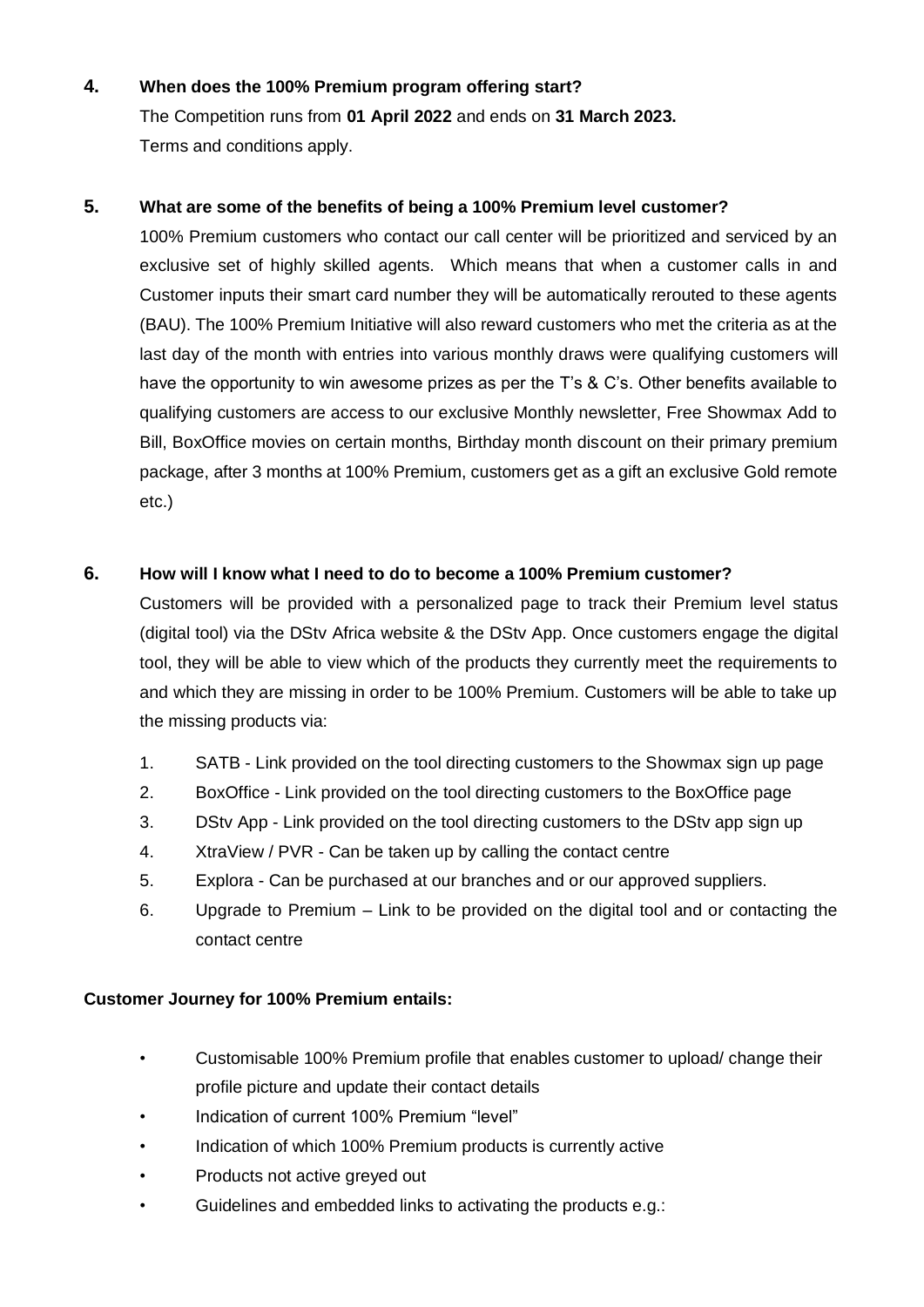# **4. When does the 100% Premium program offering start?**

The Competition runs from **01 April 2022** and ends on **31 March 2023.** Terms and conditions apply.

### **5. What are some of the benefits of being a 100% Premium level customer?**

100% Premium customers who contact our call center will be prioritized and serviced by an exclusive set of highly skilled agents. Which means that when a customer calls in and Customer inputs their smart card number they will be automatically rerouted to these agents (BAU). The 100% Premium Initiative will also reward customers who met the criteria as at the last day of the month with entries into various monthly draws were qualifying customers will have the opportunity to win awesome prizes as per the T's & C's. Other benefits available to qualifying customers are access to our exclusive Monthly newsletter, Free Showmax Add to Bill, BoxOffice movies on certain months, Birthday month discount on their primary premium package, after 3 months at 100% Premium, customers get as a gift an exclusive Gold remote etc.)

### **6. How will I know what I need to do to become a 100% Premium customer?**

Customers will be provided with a personalized page to track their Premium level status (digital tool) via the DStv Africa website & the DStv App. Once customers engage the digital tool, they will be able to view which of the products they currently meet the requirements to and which they are missing in order to be 100% Premium. Customers will be able to take up the missing products via:

- 1. SATB Link provided on the tool directing customers to the Showmax sign up page
- 2. BoxOffice Link provided on the tool directing customers to the BoxOffice page
- 3. DStv App Link provided on the tool directing customers to the DStv app sign up
- 4. XtraView / PVR Can be taken up by calling the contact centre
- 5. Explora Can be purchased at our branches and or our approved suppliers.
- 6. Upgrade to Premium Link to be provided on the digital tool and or contacting the contact centre

### **Customer Journey for 100% Premium entails:**

- Customisable 100% Premium profile that enables customer to upload/ change their profile picture and update their contact details
- Indication of current 100% Premium "level"
- Indication of which 100% Premium products is currently active
- Products not active greyed out
- Guidelines and embedded links to activating the products e.g.: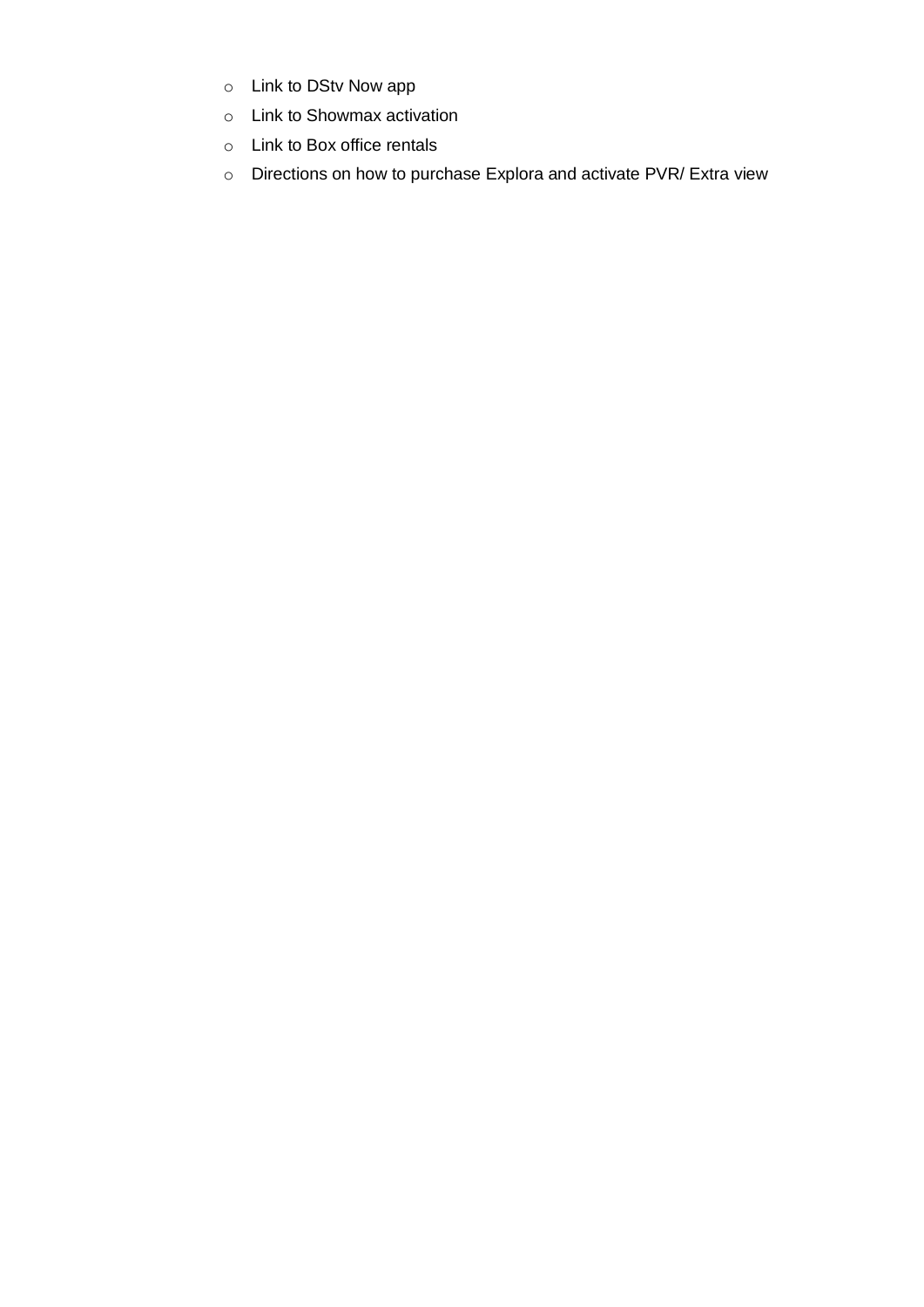- o Link to DStv Now app
- o Link to Showmax activation
- o Link to Box office rentals
- o Directions on how to purchase Explora and activate PVR/ Extra view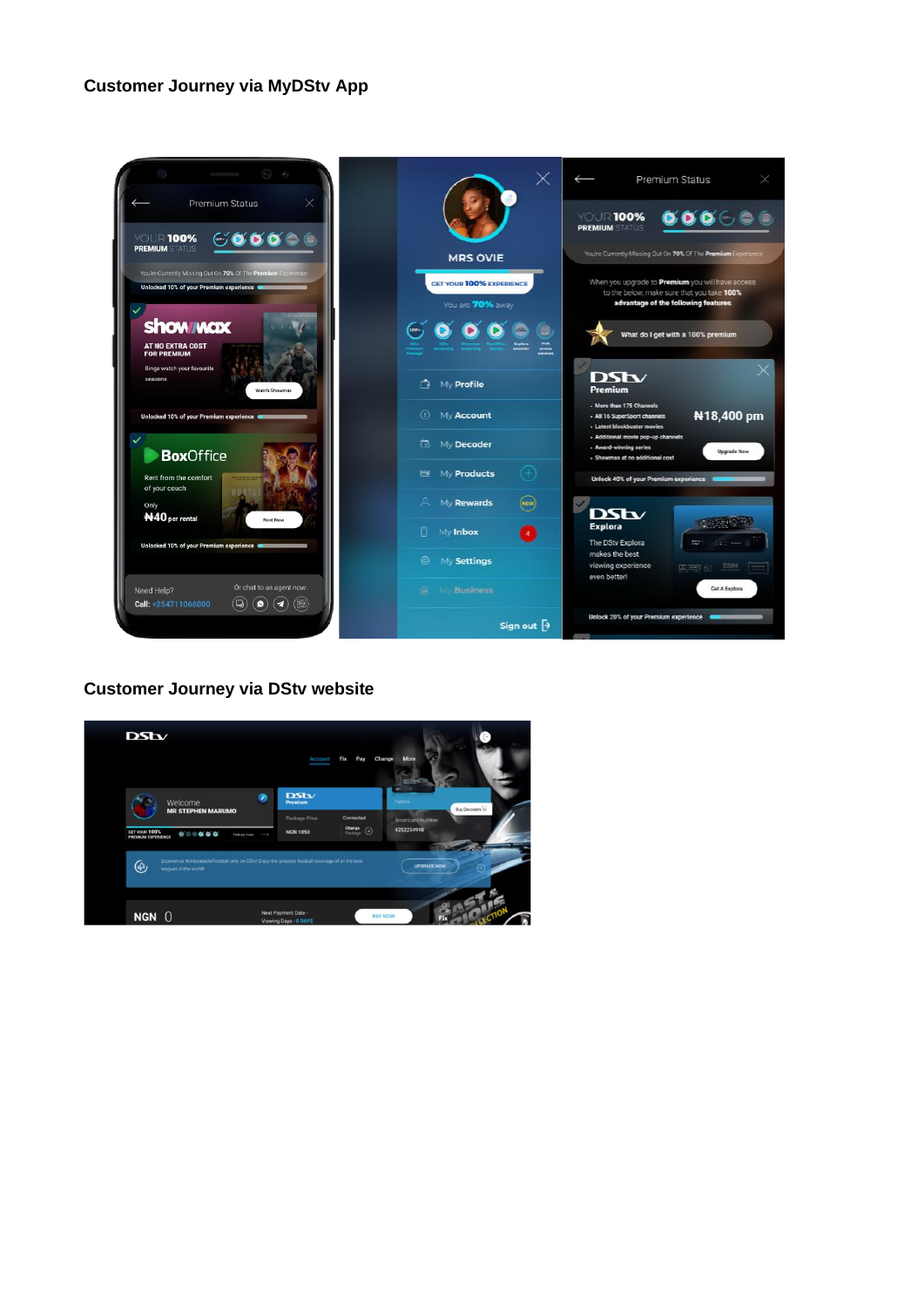### **Customer Journey via MyDStv App**



### **Customer Journey via DStv website**

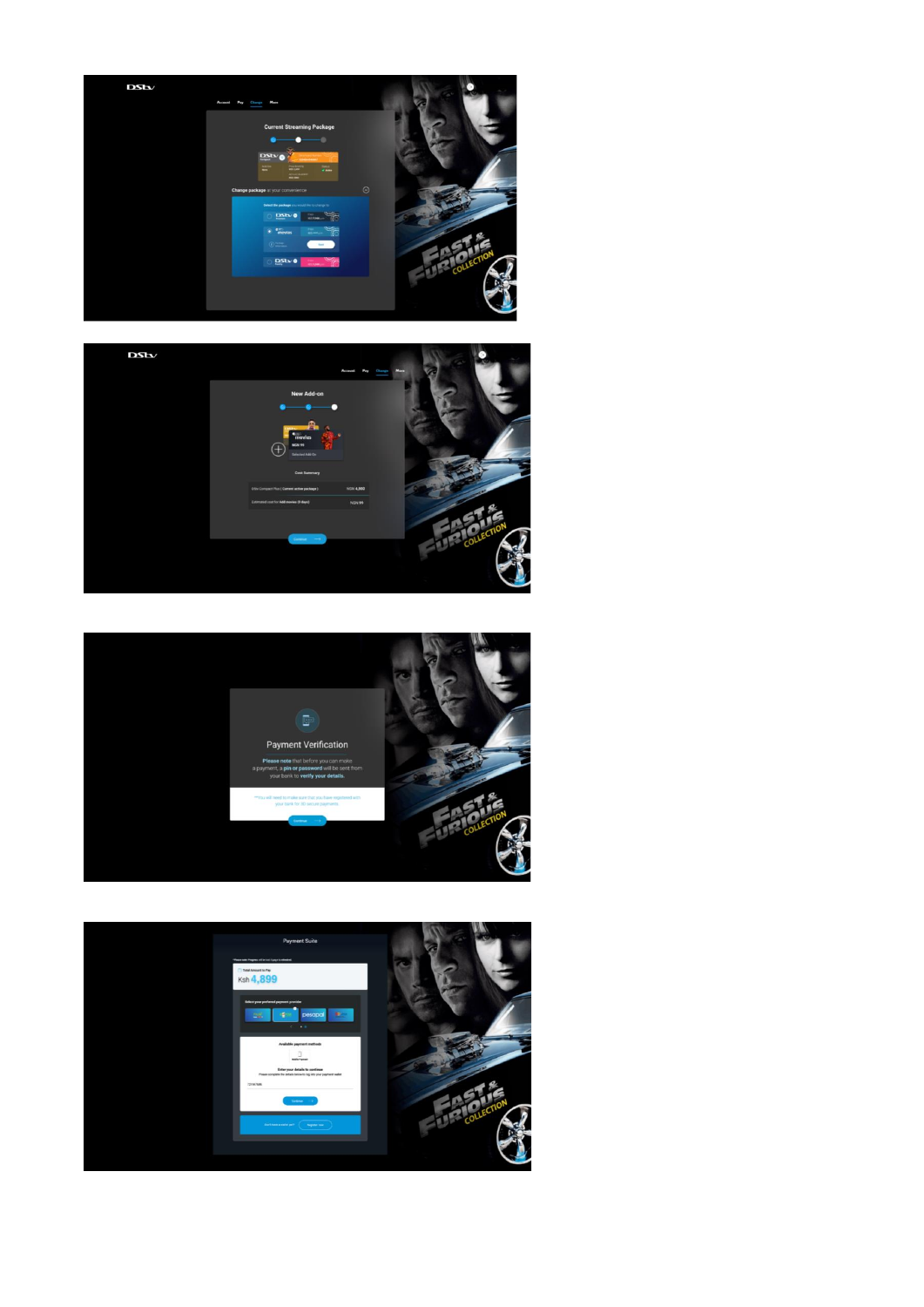